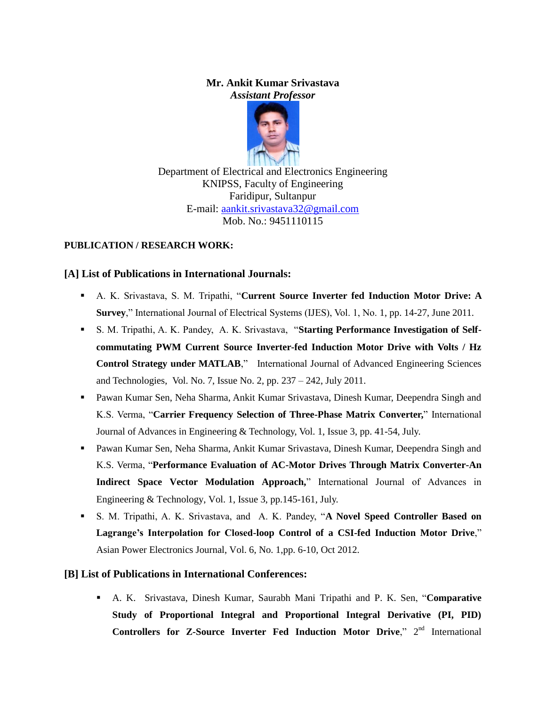#### **Mr. Ankit Kumar Srivastava** *Assistant Professor*



Department of Electrical and Electronics Engineering KNIPSS, Faculty of Engineering Faridipur, Sultanpur E-mail: [aankit.srivastava32@gmail.com](mailto:aankit.srivastava32@gmail.com) Mob. No.: 9451110115

### **PUBLICATION / RESEARCH WORK:**

### **[A] List of Publications in International Journals:**

- A. K. Srivastava, S. M. Tripathi, "**Current Source Inverter fed Induction Motor Drive: A Survey**," International Journal of Electrical Systems (IJES), Vol. 1, No. 1, pp. 14-27, June 2011.
- S. M. Tripathi, A. K. Pandey, A. K. Srivastava, "**Starting Performance Investigation of Selfcommutating PWM Current Source Inverter-fed Induction Motor Drive with Volts / Hz Control Strategy under MATLAB**," International Journal of Advanced Engineering Sciences and Technologies, Vol. No. 7, Issue No. 2, pp. 237 – 242, July 2011.
- Pawan Kumar Sen, Neha Sharma, Ankit Kumar Srivastava, Dinesh Kumar, Deependra Singh and K.S. Verma, "**Carrier Frequency Selection of Three-Phase Matrix Converter,**" International Journal of Advances in Engineering & Technology, Vol. 1, Issue 3, pp. 41-54, July.
- Pawan Kumar Sen, Neha Sharma, Ankit Kumar Srivastava, Dinesh Kumar, Deependra Singh and K.S. Verma, "**Performance Evaluation of AC-Motor Drives Through Matrix Converter-An Indirect Space Vector Modulation Approach,**" International Journal of Advances in Engineering & Technology, Vol. 1, Issue 3, pp.145-161, July.
- S. M. Tripathi, A. K. Srivastava, and A. K. Pandey, "**A Novel Speed Controller Based on Lagrange's Interpolation for Closed-loop Control of a CSI-fed Induction Motor Drive**," Asian Power Electronics Journal, Vol. 6, No. 1,pp. 6-10, Oct 2012.

# **[B] List of Publications in International Conferences:**

 A. K. Srivastava, Dinesh Kumar, Saurabh Mani Tripathi and P. K. Sen, "**Comparative Study of Proportional Integral and Proportional Integral Derivative (PI, PID) Controllers for Z-Source Inverter Fed Induction Motor Drive,"** 2<sup>nd</sup> International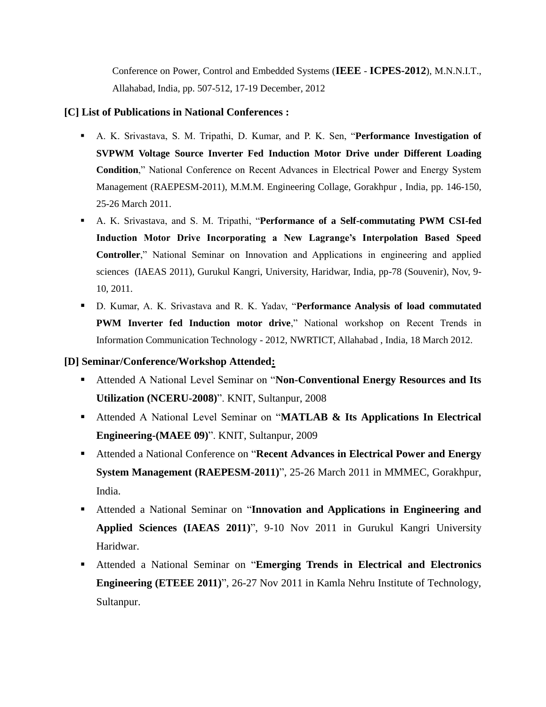Conference on Power, Control and Embedded Systems (**IEEE** - **ICPES-2012**), M.N.N.I.T., Allahabad, India, pp. 507-512, 17-19 December, 2012

#### **[C] List of Publications in National Conferences :**

- A. K. Srivastava, S. M. Tripathi, D. Kumar, and P. K. Sen, "**Performance Investigation of SVPWM Voltage Source Inverter Fed Induction Motor Drive under Different Loading Condition**," National Conference on Recent Advances in Electrical Power and Energy System Management (RAEPESM-2011), M.M.M. Engineering Collage, Gorakhpur , India, pp. 146-150, 25-26 March 2011.
- A. K. Srivastava, and S. M. Tripathi, "**Performance of a Self-commutating PWM CSI-fed Induction Motor Drive Incorporating a New Lagrange's Interpolation Based Speed Controller**," National Seminar on Innovation and Applications in engineering and applied sciences (IAEAS 2011), Gurukul Kangri, University, Haridwar, India, pp-78 (Souvenir), Nov, 9- 10, 2011.
- D. Kumar, A. K. Srivastava and R. K. Yadav, "**Performance Analysis of load commutated PWM Inverter fed Induction motor drive**," National workshop on Recent Trends in Information Communication Technology - 2012, NWRTICT, Allahabad , India, 18 March 2012.

# **[D] Seminar/Conference/Workshop Attended:**

- Attended A National Level Seminar on "**Non-Conventional Energy Resources and Its Utilization (NCERU-2008)**". KNIT, Sultanpur, 2008
- Attended A National Level Seminar on "**MATLAB & Its Applications In Electrical Engineering-(MAEE 09)**". KNIT, Sultanpur, 2009
- Attended a National Conference on "**Recent Advances in Electrical Power and Energy System Management (RAEPESM-2011)**", 25-26 March 2011 in MMMEC, Gorakhpur, India.
- Attended a National Seminar on "**Innovation and Applications in Engineering and Applied Sciences (IAEAS 2011)**", 9-10 Nov 2011 in Gurukul Kangri University Haridwar.
- Attended a National Seminar on "**Emerging Trends in Electrical and Electronics Engineering (ETEEE 2011)**", 26-27 Nov 2011 in Kamla Nehru Institute of Technology, Sultanpur.